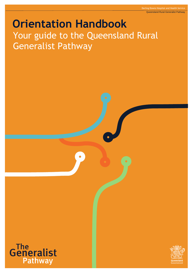# **Orientation Handbook** Your guide to the Queensland Rural Generalist Pathway



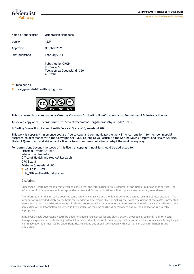Queensland Rural Generalist Pathway



| Name of publication | <b>Orientation Handbook</b> |  |
|---------------------|-----------------------------|--|
| Version             | 12.0                        |  |
| Approved            | October 2021                |  |
| First published     | February 2011               |  |
|                     |                             |  |

Published by QRGP PO Box 405 Toowoomba Queensland 4350 Australia

#### **T** 1800 680 291

**E** [rural\\_generalist@health.qld.gov.au](mailto:ccreception@health.qld.gov.au)



This document is licensed under a Creative Commons Attribution Non-Commercial No Derivatives 3.0 Australia license.

To view a copy of this license visit<http://creativecommons.org/licenses/by-nc-nd/2.5/au/>

© Darling Downs Hospital and Health Service, State of Queensland 2021

This work is copyright. In essence you are free to copy and communicate the work in its current form for non-commercial purposes, in accordance with the Copyright Act 1968, as long as you attribute the Darling Downs Hospital and Health Service, State of Queensland and abide by the license terms. You may not alter or adapt the work in any way.

For permissions beyond the scope of this license, copyright inquiries should be addressed to:

Principal Project Officer Intellectual Property Office of Health and Medical Research GPO Box 48 Brisbane Queensland 4001 **T** +617 3234 1479 **E** [IP\\_Officer@health.qld.gov.au](mailto:IP_Officer@health.qld.gov.au)

#### Disclaimer

Queensland Health has made every effort to ensure that the information in this resource, at the time of publication is correct. The information in this resource will be kept under review and future publications will incorporate any necessary amendments.

The information in this resource does not constitute clinical advice and should not be relied upon as such in a clinical situation. The information is provided solely on the basis that readers will be responsible for making their own assessment of the matters presented herein and readers are advised to verify all relevant representations, statements and information. Specialist advice in relation to the application of the information presented in this publication must be sought as necessary to ensure the application is clinically appropriate.

In no event, shall Queensland Health be liable (including negligence) for any claim, action, proceeding, demand, liability, costs, damages, expenses or loss (including without limitation, direct, indirect, punitive, special or consequential) whatsoever brought against it or made upon it or incurred by Queensland Health arising out of or in connection with a person's use of information in this publication.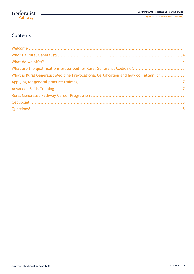

Queensland Rural Generalist Pathway

# **Contents**

| What is Rural Generalist Medicine Prevocational Certification and how do I attain it?  5 |  |
|------------------------------------------------------------------------------------------|--|
|                                                                                          |  |
|                                                                                          |  |
|                                                                                          |  |
|                                                                                          |  |
|                                                                                          |  |
|                                                                                          |  |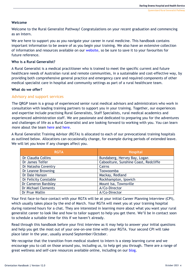# <span id="page-3-0"></span>**Welcome**

Welcome to the Rural Generalist Pathway! Congratulations on your recent graduation and commencing as an Intern.

We are here to support you as you navigate your career in rural medicine. This handbook contains important information to be aware of as you begin your training. We also have an extensive collection of information and resources available on our [website,](https://ruralgeneralist.qld.gov.au/) so be sure to save it to your favourites for future reference.

#### <span id="page-3-1"></span>**Who is a Rural Generalist?**

A Rural Generalist is a medical practitioner who is trained to meet the specific current and future healthcare needs of Australian rural and remote communities, in a sustainable and cost-effective way, by providing both comprehensive general practice and emergency care and required components of other medical specialist care in hospital and community settings as part of a rural healthcare team.

# <span id="page-3-2"></span>**What do we offer?**

# Advisory and support services

The QRGP team is a group of experienced senior rural medical advisors and [administrators](http://ruralgeneralist.qld.gov.au/about-us/#tab-e3d37af7fc3810762d7) who work in consultation with leading training partners to support you in your training. Together, our experiences and expertise include practising Rural Generalists, Staff Specialists, rural medical academics and experienced administration staff. We are passionate and dedicated to preparing you for the adventures and challenges of life as a Rural Generalist and are looking forward to working with you. You can learn more about the team [here](http://ruralgeneralist.qld.gov.au/why-the-pathway/career-navigation/) and [here.](http://ruralgeneralist.qld.gov.au/about-us/#tab-e3d37af7fc3810762d7)

A Rural Generalist Training Advisor (RGTA) is allocated to each of our prevocational training hospitals as outlined below. Allocations can occasionally change, for example during periods of extended leave. We will let you know if any changes affect you.

| <b>RGTA</b>                | <b>Hospital</b>                       |  |
|----------------------------|---------------------------------------|--|
| Dr Claudia Collins         | Bundaberg, Hervey Bay, Logan          |  |
| Dr James Telfer            | Caboolture, Sunshine Coast, Redcliffe |  |
| Dr Natasha Coventry        | Cairns                                |  |
| Dr Leanne Browning         | Toowoomba                             |  |
| Dr Dale Hanson             | Mackay, Redland                       |  |
| Dr Felicity Constable      | Rockhampton, Ipswich                  |  |
| Dr Cameron Bardsley        | Mount Isa, Townsville                 |  |
| <b>Dr Michael Clements</b> | A/Co-Director                         |  |
| Dr Prue Wallin             | A/Co-Director                         |  |

Your first face-to-face contact with your RGTA will be at your initial Career Planning Interview (CPI), which usually takes place by the end of March. Your RGTA will meet you at your training hospital during rostered hours for a chat. They are interested in learning more about what you want your rural generalist career to look like and how to tailor support to help you get there. We'll be in contact soon to schedule a suitable time for this if we haven't already.

Read through this handbook before your first interview as it may help to answer your initial questions and help you get the most out of your one-on-one time with your RGTA. Your second CPI will take place later in the year, usually around September/October.

We recognise that the transition from medical student to Intern is a steep learning curve and we encourage you to call on those around you, including us, to help get you through. There are a range of great wellness and self-care resources available online, including on our [blog.](https://ruralgeneralist.qld.gov.au/category/blog/)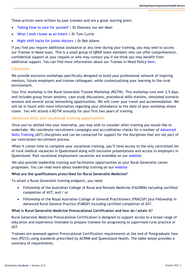These articles were written by past trainees and are a great starting point:

- [Taking time to care for](https://ruralgeneralist.qld.gov.au/taking-time-to-care-for-yourself/) yourself | Dr Ebonney van der Meer
- [What I wish I knew as an Intern](https://ruralgeneralist.qld.gov.au/what-i-wish-i-knew-as-an-intern/) I Dr Tom Currie
- [Night shift hacks for junior doctors](https://ruralgeneralist.qld.gov.au/night-shift-hacks-for-junior-doctors/) | Dr Bek Adams

If you find you require additional assistance at any time during your training, you may wish to access our Trainee in Need team. This is a small group of QRGP team members who can offer comprehensive, confidential support at your request or who may contact you if we think you may benefit from additional support. You can find more information about our Trainee in Need Policy [here.](http://ruralgeneralist.qld.gov.au/current-trainees/resources/)

# Education

We provide exclusive workshops specifically designed to build your professional network of inspiring mentors, future employers and trainee colleagues; while contextualising your learning to the rural environment.

Your first workshop is the Rural Generalist Trainee Workshop (RGTW). This workshop runs over 2.5 days and includes group forum sessions, case study discussions, procedural skills stations, simulated scenario sessions and several social networking opportunities. We will cover your travel and accommodation. We will be in touch with more information regarding your attendance as the date of your workshop draws closer. You will attend a RGTW annually for your first two years of training.

# Advanced skills and vocational training opportunities

Once you've settled into your internship, you may wish to consider other training you would like to undertake. We coordinate recruitment campaigns and accreditation checks for a number of [Advanced](https://ruralgeneralist.qld.gov.au/current-trainees/#tab-65605ce70358c424c28)  [Skills Training](https://ruralgeneralist.qld.gov.au/current-trainees/#tab-65605ce70358c424c28) (AST) disciplines and can be contacted for support for the disciplines that are not part of our centralised recruitment process.

When it comes time to complete your vocational training, you'll have access to the only centralised list of rural medical vacancies in Queensland along with exclusive presentations and access to employers in Queensland. Past vocational employment vacancies are available on our [website.](https://ruralgeneralist.qld.gov.au/current-trainees/vocational-employment/#aa8139952af67f16f)

We also provide leadership training and facilitation opportunities as your Rural Generalist career progresses. You can read more about leadership training on our [website.](https://ruralgeneralist.qld.gov.au/after-the-pathway/leadership-for-clinicians-training-program-associate-fellow-afracma/)

#### <span id="page-4-0"></span>**What are the qualifications prescribed for Rural Generalist Medicine?**

To attain a Rural Generalist training endpoint, you need:

- Fellowship of the Australian College of Rural and Remote Medicine (FACRRM) including certified completion of AST; and / or
- Fellowship of the Royal Australian College of General Practitioners (FRACGP) plus Fellowship in Advanced Rural General Practice (FARGP) including certified completion of AST.

#### <span id="page-4-1"></span>**What is Rural Generalist Medicine Prevocational Certification and how do I attain it?**

Rural Generalist Medicine Prevocational Certification is designed to support access to a broad range of education and experience intended to prepare trainees for progressing to supervised rural practice or AST.

Trainees are assessed against Prevocational Certification requirements at the end of Postgraduate Year two (PGY2) using standards prescribed by ACRRM and Queensland Health. The table below provides a summary of requirements.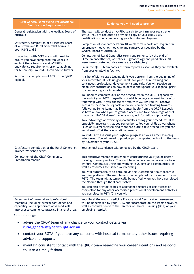| <b>Rural Generalist Medicine Prevocational</b><br><b>Certification Requirements</b>                                                                                                      | Evidence you will need to provide                                                                                                                                                                                                                                                                                                                                                                                                                                                                            |  |
|------------------------------------------------------------------------------------------------------------------------------------------------------------------------------------------|--------------------------------------------------------------------------------------------------------------------------------------------------------------------------------------------------------------------------------------------------------------------------------------------------------------------------------------------------------------------------------------------------------------------------------------------------------------------------------------------------------------|--|
| General registration with the Medical Board of<br>Australia                                                                                                                              | The team will conduct an AHPRA search to confirm your registration<br>status. You are required to provide a copy of your MBBS / MD<br>qualification upon commencing your hospital employment.                                                                                                                                                                                                                                                                                                                |  |
| Satisfactory completion of all Medical Board<br>of Australia and Rural Generalist terms in<br>both PGY1 and 2                                                                            | Completion of mandatory Intern 10-week term reports are required in<br>emergency medicine, medicine and surgery, as specified by the<br>Medical Board of Australia.                                                                                                                                                                                                                                                                                                                                          |  |
| <sup>1</sup> If you train with ACRRM you will need to<br>ensure you have completed ten weeks in<br>each of these terms or met ACRRM's                                                    | Completion of Rural Generalist term requirements (by the end of<br>PGY2) in anaesthetics, obstetrics & gynaecology and paediatrics. 10<br>week terms preferred; five weeks are satisfactory <sup>2</sup> .                                                                                                                                                                                                                                                                                                   |  |
| equivalence requirements prior to applying<br>for fellowship. Your RGTA can advise further.                                                                                              | Email the QRGP team copies of term reports as soon as they are available<br>from your employing facility.                                                                                                                                                                                                                                                                                                                                                                                                    |  |
| Satisfactory completion of 80% of the QRGP<br>logbook                                                                                                                                    | It is beneficial to start logging skills you perform from the beginning of<br>your internship. It sets up good habits for your future training and<br>continuous professional development standards. You will receive an<br>email with instructions on how to access and update your logbook prior<br>to commencing your internship.                                                                                                                                                                         |  |
|                                                                                                                                                                                          | You need to complete 80% of the procedures in the QRGP Logbook by<br>the end of your PGY2, regardless of which college you want to train to<br>fellowship with. If you choose to train with ACRRM you will receive<br>access to their online logbook when you commence training towards<br>fellowship. Some items may be transcribable from the QRGP Logbook<br>so have a look when you're granted access and take advantage of that<br>if you can. RACGP doesn't require a logbook for fellowship training. |  |
|                                                                                                                                                                                          | Take advantage of everyday opportunities to log your procedures. It is<br>especially important that you remember to log your skills at workshops<br>(such as RGTW) as you'll find there are quite a few procedures you can<br>get signed off at these educational events.                                                                                                                                                                                                                                    |  |
|                                                                                                                                                                                          | Your RGTA will discuss your Logbook progress at your Career Planning<br>Interviews. You will need to provide your completed logbook to the team<br>by November of your PGY2.                                                                                                                                                                                                                                                                                                                                 |  |
| Satisfactory completion of the Rural Generalist<br>Trainee Workshop series                                                                                                               | Your annual attendance will be logged by the QRGP team.                                                                                                                                                                                                                                                                                                                                                                                                                                                      |  |
| Completion of the QRGP Community<br>Preparation module                                                                                                                                   | This exclusive module is designed to contextualise your junior doctor<br>training to rural practice. The module includes common scenarios faced<br>by Rural Generalists living and working in Queensland communities, as<br>well as resources to further your learning.                                                                                                                                                                                                                                      |  |
|                                                                                                                                                                                          | You will automatically be enrolled via the Queensland Health iLearn e-<br>learning platform. The Module must be completed by November of your<br>PGY2. The team will automatically be notified when you have completed<br>the Module through the iLearn system.                                                                                                                                                                                                                                              |  |
|                                                                                                                                                                                          | You can also provide copies of attendance records or certificates of<br>completion for any other accredited professional development activities<br>you complete in PGY1/2 if you wish.                                                                                                                                                                                                                                                                                                                       |  |
| Assessment of personal and professional<br>readiness (including clinical confidence and<br>capability; and appropriate advanced skill<br>interest) to commence practice in a rural area. | Your Rural Generalist Medicine Prevocational Certification assessment<br>will be undertaken by your RGTA and incorporate all the items above, as<br>well as consultation with the Director of Clinical Training (DCT) of your<br>employing hospital.                                                                                                                                                                                                                                                         |  |

Remember to:

- advise the QRGP team of any change to your contact details via [rural\\_generalist@health.qld.gov.au](mailto:rural_generalist@health.qld.gov.au)
- contact your RGTA if you have any concerns with hospital terms or any other issues requiring advice and support.
- maintain consistent contact with the QRGP team regarding your career intentions and respond to us in a timely fashion.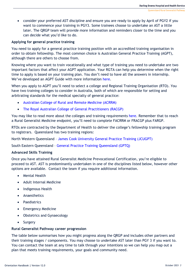• consider your preferred AST discipline and ensure you are ready to apply by April of PGY2 if you want to commence your training in PGY3. Some trainees choose to undertake an AST a little later. The QRGP team will provide more information and reminders closer to the time and you can decide what you'd like to do.

#### <span id="page-6-0"></span>**Applying for general practice training**

You need to apply for a general practice training position with an accredited training organisation in order to obtain fellowship. The most common choice is Australian General Practice Training (AGPT), although there are others to choose from.

Knowing where you want to train vocationally and what type of training you need to undertake are two important factors that affect your AGPT application. Your RGTA can help you determine when the right time to apply is based on your training plan. You don't need to have all the answers in internship. We've developed an AGPT Guide with more information [here.](http://ruralgeneralist.qld.gov.au/current-trainees/resources/)

When you apply to AGPT you'll need to select a college and Regional Training Organisation (RTO). You have two training colleges to consider in Australia, both of which are responsible for setting and arbitrating standards for the medical specialty of general practice:

- [Australian College of Rural and Remote Medicine \(ACRRM\)](http://www.acrrm.org.au/)
- [The Royal Australian College of General Practitioners \(RACGP\)](http://www.racgp.org.au/)

You may like to read more about the colleges and training requirements [here.](https://www.gptq.qld.edu.au/our-program/gp-fellowships/) Remember that to reach a Rural Generalist Medicine endpoint, you'll need to complete FACRRM or FRACGP plus FARGP.

RTOs are contracted by the Department of Health to deliver the college's fellowship training program to registrars. Queensland has two training regions:

North Western Queensland – [James Cook University General Practice Training \(JCUGPT\)](https://www.jcugp.edu.au/our-training-program/australian-general-practice-training-agpt/)

South Eastern Queensland – [General Practice Training Queensland \(GPTQ\)](https://www.gptq.qld.edu.au/)

#### <span id="page-6-1"></span>**Advanced Skills Training**

Once you have attained Rural Generalist Medicine Prevocational Certification, you're eligible to proceed to AST. AST is predominantly undertaken in one of the disciplines listed below, however other options are available. Contact the team if you require additional information.

- Mental Health
- Adult Internal Medicine
- Indigenous Health
- **Anaesthetics**
- Paediatrics
- Emergency Medicine
- Obstetrics and Gynaecology
- Surgery

#### <span id="page-6-2"></span>**Rural Generalist Pathway career progression**

The table below summarises how you might progress along the QRGP and includes other partners and their training stages / components. You may choose to undertake AST later than PGY 3 if you want to. You can contact the team at any time to talk through your intentions so we can help you map out a plan that meets training requirements, your goals and community need.